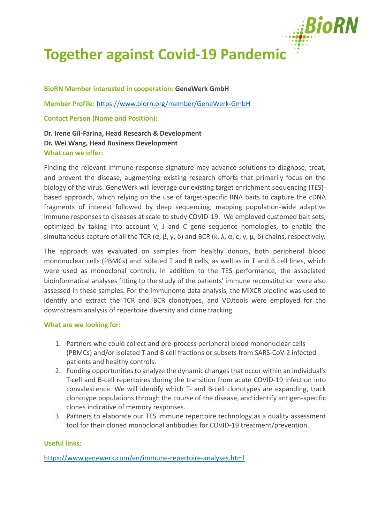

## **Together against Covid-19 Pandemic**

**BioRN Member interested in cooperation: GeneWerk GmbH**

**Member Profile:** <https://www.biorn.org/member/GeneWerk-GmbH>

**Contact Person (Name and Position):**

**Dr. Irene Gil-Farina, Head Research & Development Dr. Wei Wang, Head Business Development What can we offer:**

Finding the relevant immune response signature may advance solutions to diagnose, treat, and prevent the disease, augmenting existing research efforts that primarily focus on the biology of the virus. GeneWerk will leverage our existing target enrichment sequencing (TES) based approach, which relying on the use of target-specific RNA baits to capture the cDNA fragments of interest followed by deep sequencing, mapping population-wide adaptive immune responses to diseases at scale to study COVID-19. We employed customed bait sets, optimized by taking into account V, J and C gene sequence homologies, to enable the simultaneous capture of all the TCR  $(α, β, γ, δ)$  and BCR  $(κ, λ, α, ε, γ, μ, δ)$  chains, respectively.

The approach was evaluated on samples from healthy donors, both peripheral blood mononuclear cells (PBMCs) and isolated T and B cells, as well as in T and B cell lines, which were used as monoclonal controls. In addition to the TES performance, the associated bioinformatical analyses fitting to the study of the patients' immune reconstitution were also assessed in these samples. For the immunome data analysis, the MiXCR pipeline was used to identify and extract the TCR and BCR clonotypes, and VDJtools were employed for the downstream analysis of repertoire diversity and clone tracking.

## **What are we looking for:**

- 1. Partners who could collect and pre-process peripheral blood mononuclear cells (PBMCs) and/or isolated T and B cell fractions or subsets from SARS-CoV-2 infected patients and healthy controls.
- 2. Funding opportunitiesto analyze the dynamic changes that occur within an individual's T-cell and B-cell repertoires during the transition from acute COVID-19 infection into convalescence. We will identify which T- and B-cell clonotypes are expanding, track clonotype populations through the course of the disease, and identify antigen-specific clones indicative of memory responses.
- 3. Partners to elaborate our TES immune repertoire technology as a quality assessment tool for their cloned monoclonal antibodies for COVID-19 treatment/prevention.

## **Useful links:**

<https://www.genewerk.com/en/immune-repertoire-analyses.html>